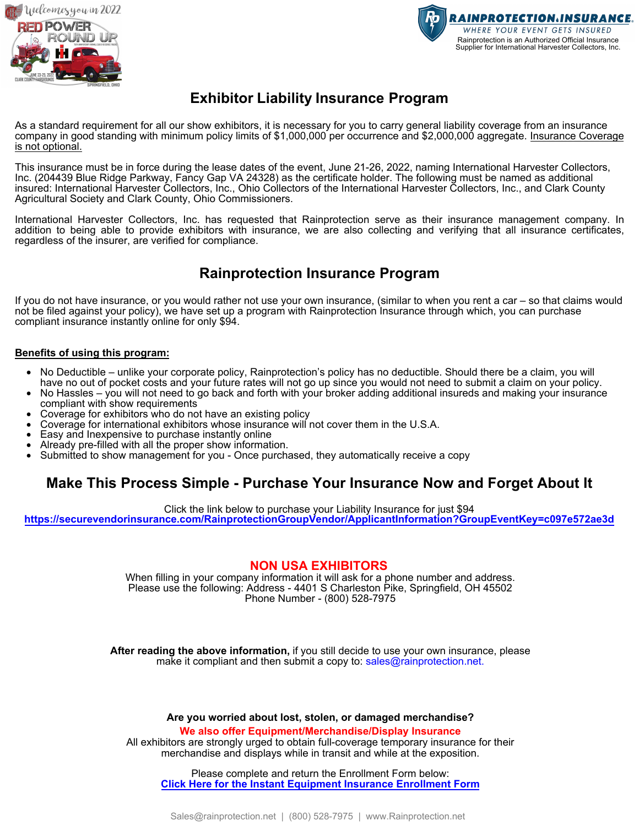



# **Exhibitor Liability Insurance Program**

As a standard requirement for all our show exhibitors, it is necessary for you to carry general liability coverage from an insurance company in good standing with minimum policy limits of \$1,000,000 per occurrence and \$2,000,000 aggregate. Insurance Coverage is not optional.

This insurance must be in force during the lease dates of the event, June 21-26, 2022, naming International Harvester Collectors, Inc. (204439 Blue Ridge Parkway, Fancy Gap VA 24328) as the certificate holder. The following must be named as additional insured: International Harvester Collectors, Inc., Ohio Collectors of the International Harvester Collectors, Inc., and Clark County Agricultural Society and Clark County, Ohio Commissioners.

International Harvester Collectors, Inc. has requested that Rainprotection serve as their insurance management company. In addition to being able to provide exhibitors with insurance, we are also collecting and verifying that all insurance certificates, regardless of the insurer, are verified for compliance.

# **Rainprotection Insurance Program**

If you do not have insurance, or you would rather not use your own insurance, (similar to when you rent a car – so that claims would not be filed against your policy), we have set up a program with Rainprotection Insurance through which, you can purchase compliant insurance instantly online for only \$94.

#### **Benefits of using this program:**

- No Deductible unlike your corporate policy, Rainprotection's policy has no deductible. Should there be a claim, you will have no out of pocket costs and your future rates will not go up since you would not need to submit a claim on your policy.
- No Hassles you will not need to go back and forth with your broker adding additional insureds and making your insurance compliant with show requirements
- Coverage for exhibitors who do not have an existing policy
- Coverage for international exhibitors whose insurance will not cover them in the U.S.A.
- Easy and Inexpensive to purchase instantly online
- Already pre-filled with all the proper show information.
- Submitted to show management for you Once purchased, they automatically receive a copy

### **Make This Process Simple - Purchase Your Insurance Now and Forget About It**

Click the link below to purchase your Liability Insurance for just \$94

**<https://securevendorinsurance.com/RainprotectionGroupVendor/ApplicantInformation?GroupEventKey=c097e572ae3d>**

#### **NON USA EXHIBITORS**

When filling in your company information it will ask for a phone number and address. Please use the following: Address - 4401 S Charleston Pike, Springfield, OH 45502 Phone Number - (800) 528-7975

**After reading the above information,** if you still decide to use your own insurance, please make it compliant and then submit a copy to: sales@rainprotection.net.

**Are you worried about lost, stolen, or damaged merchandise?**

**We also offer Equipment/Merchandise/Display Insurance**

All exhibitors are strongly urged to obtain full-coverage temporary insurance for their merchandise and displays while in transit and while at the exposition.

Please complete and return the Enrollment Form below: **Click Here for the Instant Equipment Insurance Enrollment Form**